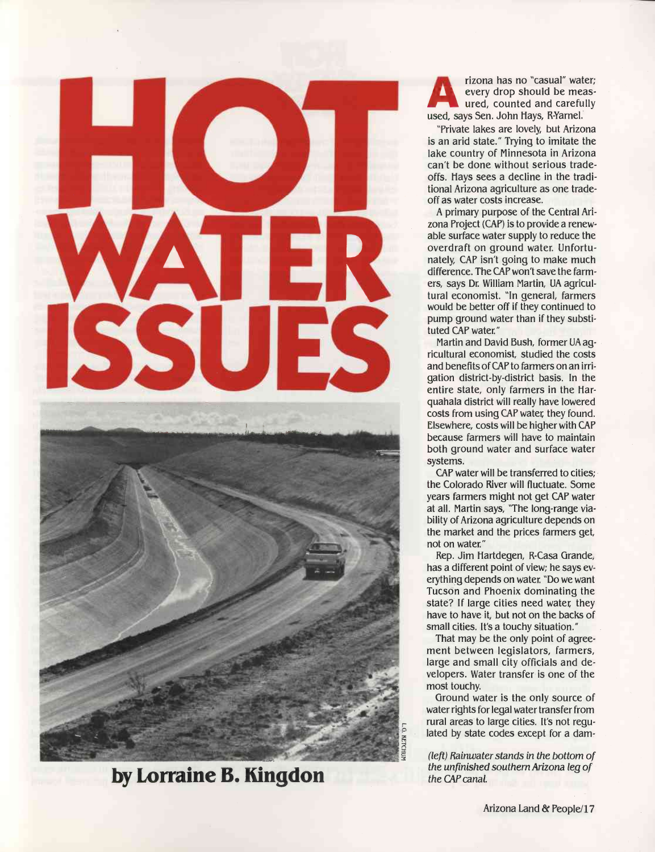

by Lorraine B. Kingdon

rizona has no "casual" water; every drop should be measured, counted and carefully used, says Sen. John Hays, RYarnel:

"Private lakes are lovely, but Arizona is an arid state." Trying to imitate the lake country of Minnesota in Arizona can't be done without serious tradeoffs. Hays sees a decline in the traditional Arizona agriculture as one tradeoff as water costs increase.

A primary purpose of the Central Arizona Project (CAP) is to provide a renewable surface water supply to reduce the overdraft on ground water. Unfortunately, CAP isn't going to make much difference. The CAP won't save the farmers, says Dr. William Martin, UA agricultural economist. "In general, farmers would be better off if they continued to pump ground water than if they substituted CAP water."

Martin and David Bush, former UA agricultural economist, studied the costs and benefits of CAP to farmers on an irrigation district -by- district basis. In the entire state, only farmers in the Harquahala district will really have lowered costs from using CAP water they found. Elsewhere, costs will be higher with CAP because farmers will have to maintain both ground water and surface water systems.

CAP water will be transferred to cities; the Colorado River will fluctuate. Some years farmers might not get CAP water at all. Martin says, "The long-range viability of Arizona agriculture depends on the market and the prices farmers get, not on water."

Rep. Jim Hartdegen, R-Casa Grande, has a different point of view; he says everything depends on water. "Do we want Tucson and Phoenix dominating the state? If large cities need water they have to have it, but not on the backs of small cities. It's a touchy situation."

That may be the only point of agreement between legislators, farmers, large and small city officials and developers. Water transfer is one of the most touchy.

Ground water is the only source of water rights for legal water transfer from rural areas to large cities. It's not regulated by state codes except for a dam-

(left) Rainwater stands in the bottom of the unfinished southern Arizona leg of the CAP canal.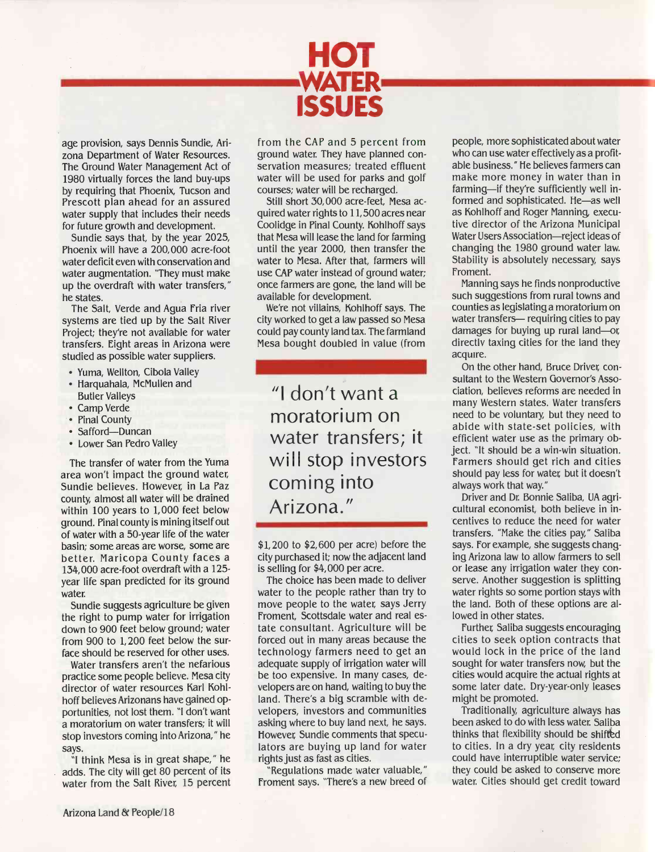age provision, says Dennis Sundie, Arizona Department of Water Resources. The Ground Water Management Act of 1980 virtually forces the land buy-ups by requiring that Phoenix, Tucson and Prescott plan ahead for an assured water supply that includes their needs for future growth and development.

Sundie says that, by the year 2025, Phoenix will have a 200,000 acre -foot water deficit even with conservation and water augmentation. "They must make up the overdraft with water transfers," he states.

The Salt, Verde and Agua Fria river systems are tied up by the Salt River Project; they're not available for water transfers. Eight areas in Arizona were studied as possible water suppliers.

- Yuma, Wellton, Cibola Valley
- Harquahala, McMullen and Butler Valleys
- Camp Verde.
- Pinal County
- Safford-Duncan
- Lower San Pedro Valley

The transfer of water from the Yuma area won't impact the ground water, Sundie believes. However, in La Paz county, almost all water will be drained within 100 years to 1,000 feet below ground. Final county is mining itself out of water with a 50 -year life of the water basin; some areas are worse, some are better. Maricopa County faces a 134,000 acre-foot overdraft with a 125year life span predicted for its ground water.

Sundie suggests agriculture be given the right to pump water for irrigation down to 900 feet below ground; water from 900 to 1,200 feet below the surface should be reserved for other uses.

Water transfers aren't the nefarious practice some people believe. Mesa city director of water resources Karl Kohlhoff believes Arizonans have gained opportunities, not lost them. "I don't want a moratorium on water transfers; it will stop investors coming into Arizona," he says.

"I think Mesa is in great shape," he adds. The city will get 80 percent of its water from the Salt River, 15 percent

from the CAP and 5 percent from ground water. They have planned conservation measures; treated effluent water will be used for parks and golf courses; water will be recharged.

Still short 30,000 acre-feet, Mesa acquired water rights to 11,500 acres near Coolidge in Final County. Kohlhoff says that Mesa will lease the land for farming until the year 2000, then transfer the water to Mesa. After that, farmers will use CAP water instead of ground water; once farmers are gone, the land will be available for development.

We're not villains, Kohlhoff says. The city worked to get a law passed so Mesa could pay county land tax. The farmland Mesa bought doubled in value (from

"I don't want a moratorium on water transfers; it will stop investors coming into Arizona."

\$1,200 to \$2,600 per acre) before the city purchased it; now the adjacent land is selling for \$4,000 per acre.

The choice has been made to deliver water to the people rather than try to move people to the water, says Jerry Froment, Scottsdale water and real estate consultant. Agriculture will be forced out in many areas because the technology farmers need to get an adequate supply of irrigation water will be too expensive. In many cases, developers are on hand, waiting to buy the land. There's a big scramble with developers, investors and communities asking where to buy land next, he says. However Sundie comments that speculators are buying up land for water rights just as fast as cities.

"Regulations made water valuable," Froment says. "There's a new breed of people, more sophisticated about water who can use water effectively as a profitable business." He believes farmers can make more money in water than in farming-if they're sufficiently well informed and sophisticated. He-as well as Kohlhoff and Roger Manning, executive director of the Arizona Municipal Water Users Association-reject ideas of changing the 1980 ground water law. Stability is absolutely necessary, says Froment.

Manning says he finds nonproductive such suggestions from rural towns and counties as legislating a moratorium on water transfers- requiring cities to pay damages for buying up rural land-or. directly taxing cities for the land they acquire.

On the other hand, Bruce Driver consultant to the Western Governor's Association, believes reforms are needed in many Western states. Water transfers need to be voluntary, but they need to abide with state -set policies, with efficient water use as the primary object. "It should be a win-win situation. Farmers should get rich and cities should pay less for water but it doesn't always work that way."

Driver and Dr. Bonnie Saliba, UA agricultural economist, both believe in incentives to reduce the need for water transfers. "Make the cities pay," Saliba says. For example, she suggests changing Arizona law to allow farmers to sell or lease any irrigation water they conserve. Another suggestion is splitting water rights so some portion stays with the land. Both of these options are allowed in other states.

Further Saliba suggests encouraging cities to seek option contracts that would lock in the price of the land sought for water transfers now, but the cities would acquire the actual rights at some later date. Dry-year-only leases might be promoted.

Traditionally, agriculture always has been asked to do with less water. Saliba thinks that flexibility should be shifted to cities. In a dry year city residents could have interruptible water service; they could be asked to conserve more water. Cities should get credit toward